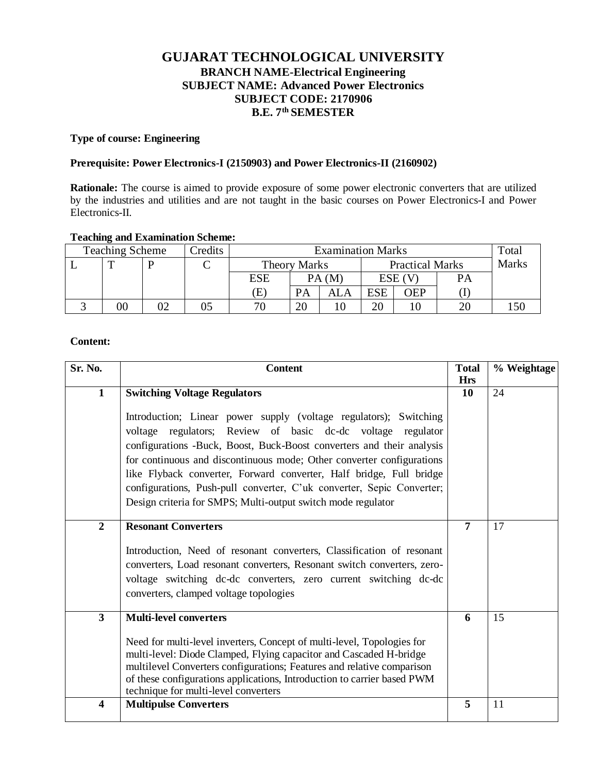# **GUJARAT TECHNOLOGICAL UNIVERSITY BRANCH NAME-Electrical Engineering SUBJECT NAME: Advanced Power Electronics SUBJECT CODE: 2170906 B.E. 7 th SEMESTER**

#### **Type of course: Engineering**

### **Prerequisite: Power Electronics-I (2150903) and Power Electronics-II (2160902)**

**Rationale:** The course is aimed to provide exposure of some power electronic converters that are utilized by the industries and utilities and are not taught in the basic courses on Power Electronics-I and Power Electronics-II.

# **Teaching and Examination Scheme:**

| <b>Teaching Scheme</b> |        |  | Credits | <b>Examination Marks</b> |                     |     |            |            |                        | Total |  |              |
|------------------------|--------|--|---------|--------------------------|---------------------|-----|------------|------------|------------------------|-------|--|--------------|
|                        |        |  |         |                          | <b>Theory Marks</b> |     |            |            | <b>Practical Marks</b> |       |  | <b>Marks</b> |
|                        |        |  |         | <b>ESE</b>               | PA(M)               |     | ESE (V     |            | PА                     |       |  |              |
|                        |        |  |         | Έ                        | <b>PA</b>           | ALA | <b>ESE</b> | <b>OEP</b> |                        |       |  |              |
|                        | $00\,$ |  | )5      | 70                       | 20                  |     | 20         |            | 20                     |       |  |              |

### **Content:**

| Sr. No.          | <b>Content</b>                                                                                                                                                                                                                                                                                                                                                                                                                                                                                     | <b>Total</b><br><b>Hrs</b> | % Weightage |
|------------------|----------------------------------------------------------------------------------------------------------------------------------------------------------------------------------------------------------------------------------------------------------------------------------------------------------------------------------------------------------------------------------------------------------------------------------------------------------------------------------------------------|----------------------------|-------------|
| $\mathbf{1}$     | <b>Switching Voltage Regulators</b>                                                                                                                                                                                                                                                                                                                                                                                                                                                                | 10                         | 24          |
|                  | Introduction; Linear power supply (voltage regulators); Switching<br>voltage regulators; Review of basic dc-dc voltage regulator<br>configurations -Buck, Boost, Buck-Boost converters and their analysis<br>for continuous and discontinuous mode; Other converter configurations<br>like Flyback converter, Forward converter, Half bridge, Full bridge<br>configurations, Push-pull converter, C'uk converter, Sepic Converter;<br>Design criteria for SMPS; Multi-output switch mode regulator |                            |             |
| $\overline{2}$   | <b>Resonant Converters</b><br>Introduction, Need of resonant converters, Classification of resonant<br>converters, Load resonant converters, Resonant switch converters, zero-<br>voltage switching dc-dc converters, zero current switching dc-dc<br>converters, clamped voltage topologies                                                                                                                                                                                                       | $\overline{7}$             | 17          |
| $\mathbf{3}$     | <b>Multi-level converters</b><br>Need for multi-level inverters, Concept of multi-level, Topologies for<br>multi-level: Diode Clamped, Flying capacitor and Cascaded H-bridge<br>multilevel Converters configurations; Features and relative comparison<br>of these configurations applications, Introduction to carrier based PWM<br>technique for multi-level converters                                                                                                                         | 6                          | 15          |
| $\boldsymbol{4}$ | <b>Multipulse Converters</b>                                                                                                                                                                                                                                                                                                                                                                                                                                                                       | 5                          | 11          |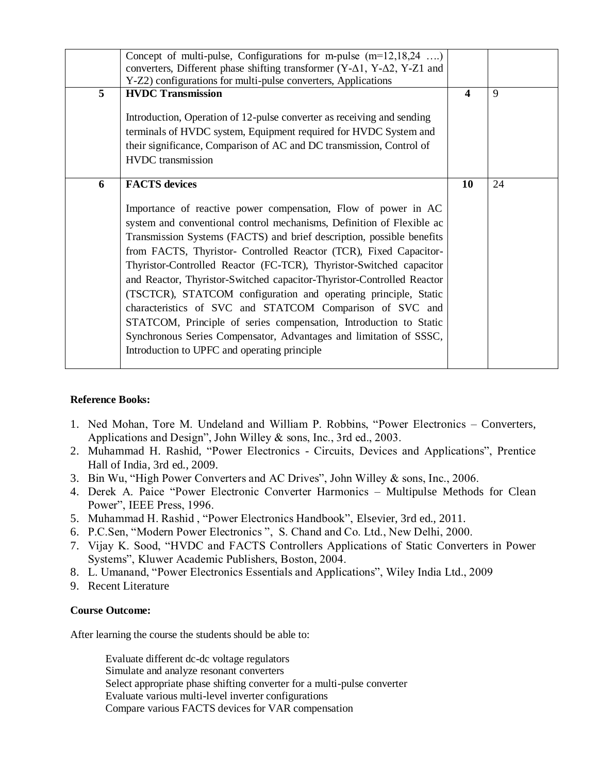|                | Concept of multi-pulse, Configurations for m-pulse $(m=12, 18, 24 \ldots)$<br>converters, Different phase shifting transformer $(Y-\Delta 1, Y-\Delta 2, Y-Z1)$ and                                                                                                                                                                                                                                                                                                                                                                                                                                                                                                                                                                                              |                  |    |
|----------------|------------------------------------------------------------------------------------------------------------------------------------------------------------------------------------------------------------------------------------------------------------------------------------------------------------------------------------------------------------------------------------------------------------------------------------------------------------------------------------------------------------------------------------------------------------------------------------------------------------------------------------------------------------------------------------------------------------------------------------------------------------------|------------------|----|
|                | Y-Z2) configurations for multi-pulse converters, Applications                                                                                                                                                                                                                                                                                                                                                                                                                                                                                                                                                                                                                                                                                                    |                  |    |
| 5 <sup>5</sup> | <b>HVDC Transmission</b>                                                                                                                                                                                                                                                                                                                                                                                                                                                                                                                                                                                                                                                                                                                                         | $\boldsymbol{4}$ | 9  |
|                | Introduction, Operation of 12-pulse converter as receiving and sending                                                                                                                                                                                                                                                                                                                                                                                                                                                                                                                                                                                                                                                                                           |                  |    |
|                | terminals of HVDC system, Equipment required for HVDC System and                                                                                                                                                                                                                                                                                                                                                                                                                                                                                                                                                                                                                                                                                                 |                  |    |
|                | their significance, Comparison of AC and DC transmission, Control of                                                                                                                                                                                                                                                                                                                                                                                                                                                                                                                                                                                                                                                                                             |                  |    |
|                | <b>HVDC</b> transmission                                                                                                                                                                                                                                                                                                                                                                                                                                                                                                                                                                                                                                                                                                                                         |                  |    |
| 6              | <b>FACTS</b> devices                                                                                                                                                                                                                                                                                                                                                                                                                                                                                                                                                                                                                                                                                                                                             | 10               | 24 |
|                | Importance of reactive power compensation, Flow of power in AC<br>system and conventional control mechanisms, Definition of Flexible ac<br>Transmission Systems (FACTS) and brief description, possible benefits<br>from FACTS, Thyristor- Controlled Reactor (TCR), Fixed Capacitor-<br>Thyristor-Controlled Reactor (FC-TCR), Thyristor-Switched capacitor<br>and Reactor, Thyristor-Switched capacitor-Thyristor-Controlled Reactor<br>(TSCTCR), STATCOM configuration and operating principle, Static<br>characteristics of SVC and STATCOM Comparison of SVC and<br>STATCOM, Principle of series compensation, Introduction to Static<br>Synchronous Series Compensator, Advantages and limitation of SSSC,<br>Introduction to UPFC and operating principle |                  |    |

# **Reference Books:**

- 1. Ned Mohan, Tore M. Undeland and William P. Robbins, "Power Electronics Converters, Applications and Design", John Willey & sons, Inc., 3rd ed., 2003.
- 2. Muhammad H. Rashid, "Power Electronics Circuits, Devices and Applications", Prentice Hall of India, 3rd ed., 2009.
- 3. Bin Wu, "High Power Converters and AC Drives", John Willey & sons, Inc., 2006.
- 4. Derek A. Paice "Power Electronic Converter Harmonics Multipulse Methods for Clean Power", IEEE Press, 1996.
- 5. Muhammad H. Rashid , "Power Electronics Handbook", Elsevier, 3rd ed., 2011.
- 6. P.C.Sen, "Modern Power Electronics ", S. Chand and Co. Ltd., New Delhi, 2000.
- 7. Vijay K. Sood, "HVDC and FACTS Controllers Applications of Static Converters in Power Systems", Kluwer Academic Publishers, Boston, 2004.
- 8. L. Umanand, "Power Electronics Essentials and Applications", Wiley India Ltd., 2009
- 9. Recent Literature

# **Course Outcome:**

After learning the course the students should be able to:

Evaluate different dc-dc voltage regulators Simulate and analyze resonant converters Select appropriate phase shifting converter for a multi-pulse converter Evaluate various multi-level inverter configurations Compare various FACTS devices for VAR compensation